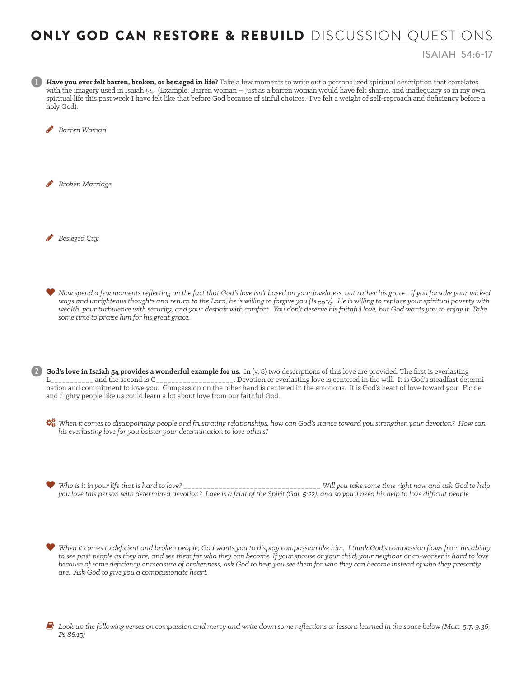## ONLY GOD CAN RESTORE & REBUILD DISCUSSION QUESTIONS

## ISAIAH 54:6-17

1 **Have you ever felt barren, broken, or besieged in life?** Take a few moments to write out a personalized spiritual description that correlates with the imagery used in Isaiah 54. (Example: Barren woman – Just as a barren woman would have felt shame, and inadequacy so in my own spiritual life this past week I have felt like that before God because of sinful choices. I've felt a weight of self-reproach and deficiency before a holy God).

**B**arren Woman

**Broken Marriage** 

H *Besieged City*

 *Now spend a few moments reflecting on the fact that God's love isn't based on your loveliness, but rather his grace. If you forsake your wicked ways and unrighteous thoughts and return to the Lord, he is willing to forgive you (Is 55:7). He is willing to replace your spiritual poverty with wealth, your turbulence with security, and your despair with comfort. You don't deserve his faithful love, but God wants you to enjoy it. Take some time to praise him for his great grace.* 

2 **God's love in Isaiah 54 provides a wonderful example for us.** In (v. 8) two descriptions of this love are provided. The first is everlasting L\_\_\_\_\_\_\_\_\_\_\_ and the second is C\_\_\_\_\_\_\_\_\_\_\_\_\_\_\_\_\_\_\_\_. Devotion or everlasting love is centered in the will. It is God's steadfast determination and commitment to love you. Compassion on the other hand is centered in the emotions. It is God's heart of love toward you. Fickle and flighty people like us could learn a lot about love from our faithful God.

 *When it comes to disappointing people and frustrating relationships, how can God's stance toward you strengthen your devotion? How can his everlasting love for you bolster your determination to love others?* 

 *Who is it in your life that is hard to love? \_\_\_\_\_\_\_\_\_\_\_\_\_\_\_\_\_\_\_\_\_\_\_\_\_\_\_\_\_\_\_\_\_\_\_ Will you take some time right now and ask God to help you love this person with determined devotion? Love is a fruit of the Spirit (Gal. 5:22), and so you'll need his help to love difficult people.* 

 *When it comes to deficient and broken people, God wants you to display compassion like him. I think God's compassion flows from his ability to see past people as they are, and see them for who they can become. If your spouse or your child, your neighbor or co-worker is hard to love because of some deficiency or measure of brokenness, ask God to help you see them for who they can become instead of who they presently are. Ask God to give you a compassionate heart.* 

6 *Look up the following verses on compassion and mercy and write down some reflections or lessons learned in the space below (Matt. 5:7; 9:36; Ps 86:15)*